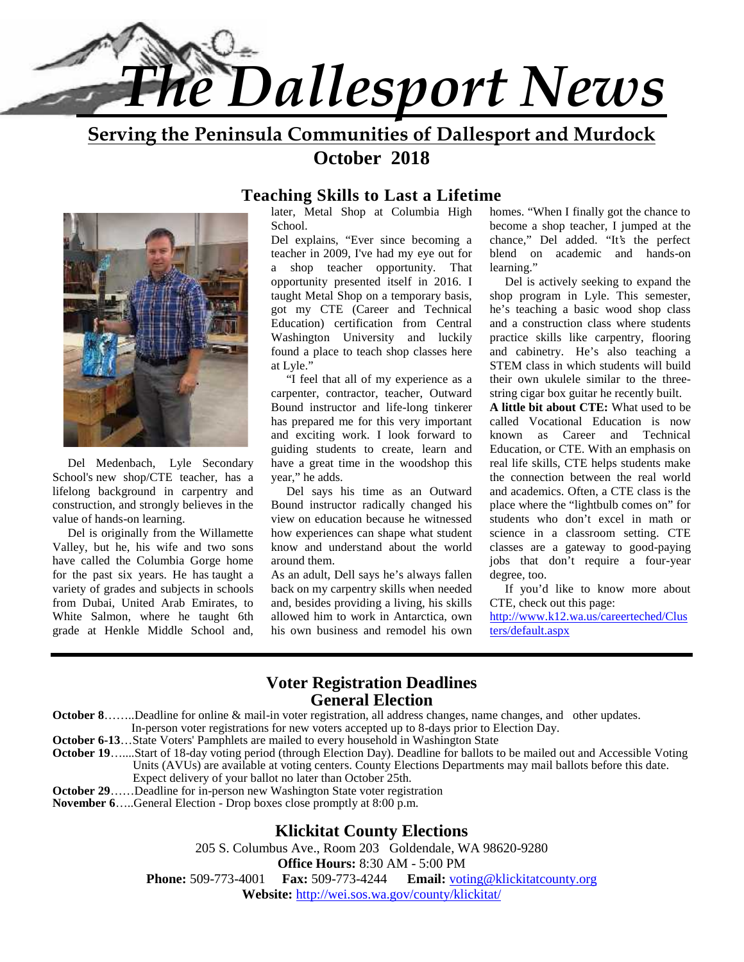

**Serving the Peninsula Communities of Dallesport and Murdock October 2018**



 Del Medenbach, Lyle Secondary School's new shop/CTE teacher, has a lifelong background in carpentry and construction, and strongly believes in the value of hands-on learning.

 Del is originally from the Willamette Valley, but he, his wife and two sons have called the Columbia Gorge home for the past six years. He has taught a variety of grades and subjects in schools from Dubai, United Arab Emirates, to White Salmon, where he taught 6th grade at Henkle Middle School and,

#### **Teaching Skills to Last a Lifetime**

later, Metal Shop at Columbia High School.

Del explains, "Ever since becoming a teacher in 2009, I've had my eye out for a shop teacher opportunity. That opportunity presented itself in 2016. I taught Metal Shop on a temporary basis, got my CTE (Career and Technical Education) certification from Central Washington University and luckily found a place to teach shop classes here at Lyle."

 "I feel that all of my experience as a carpenter, contractor, teacher, Outward Bound instructor and life-long tinkerer has prepared me for this very important and exciting work. I look forward to guiding students to create, learn and have a great time in the woodshop this year," he adds.

 Del says his time as an Outward Bound instructor radically changed his view on education because he witnessed how experiences can shape what student know and understand about the world around them.

As an adult, Dell says he's always fallen back on my carpentry skills when needed and, besides providing a living, his skills allowed him to work in Antarctica, own his own business and remodel his own homes. "When I finally got the chance to become a shop teacher, I jumped at the chance," Del added. "It's the perfect blend on academic and hands-on learning."

 Del is actively seeking to expand the shop program in Lyle. This semester, he's teaching a basic wood shop class and a construction class where students practice skills like carpentry, flooring and cabinetry. He's also teaching a STEM class in which students will build their own ukulele similar to the three string cigar box guitar he recently built.

**A little bit about CTE:** What used to be called Vocational Education is now known as Career and Technical Education, or CTE. With an emphasis on real life skills, CTE helps students make the connection between the real world and academics. Often, a CTE class is the place where the "lightbulb comes on" for students who don't excel in math or science in a classroom setting. CTE classes are a gateway to good-paying jobs that don't require a four-year degree, too.

 If you'd like to know more about CTE, check out this page:

http://www.k12.wa.us/careerteched/Clus ters/default.aspx

#### **Voter Registration Deadlines General Election**

**October 8**……..Deadline for online & mail-in voter registration, all address changes, name changes, and other updates.

In-person voter registrations for new voters accepted up to 8-days prior to Election Day.

**October 6-13**…State Voters' Pamphlets are mailed to every household in Washington State

- **October 19**…....Start of 18-day voting period (through Election Day). Deadline for ballots to be mailed out and Accessible Voting Units (AVUs) are available at voting centers. County Elections Departments may mail ballots before this date.
- Expect delivery of your ballot no later than October 25th.
- **October 29**……Deadline for in-person new Washington State voter registration

**November 6**…..General Election - Drop boxes close promptly at 8:00 p.m.

#### **Klickitat County Elections**

205 S. Columbus Ave., Room 203 Goldendale, WA 98620-9280

**Office Hours:** 8:30 AM - 5:00 PM

**Phone:** 509-773-4001 **Fax:** 509-773-4244 **Email:** voting@klickitatcounty.org **Website:** http://wei.sos.wa.gov/county/klickitat/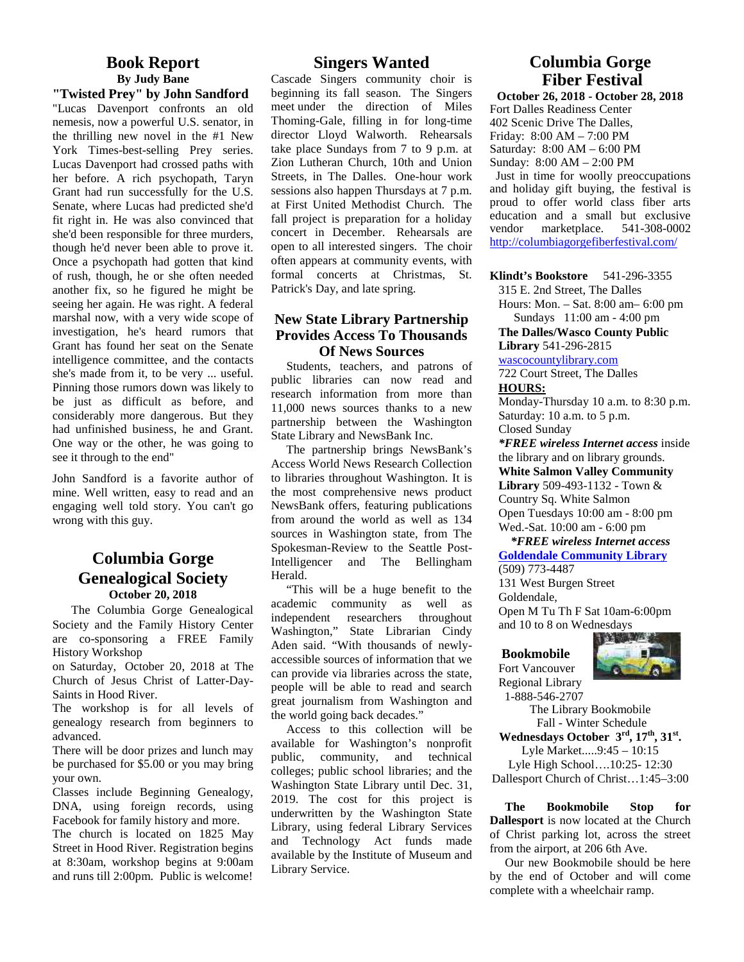### **Book Report By Judy Bane**

**"Twisted Prey" by John Sandford** "Lucas Davenport confronts an old nemesis, now a powerful U.S. senator, in the thrilling new novel in the #1 New York Times-best-selling Prey series. Lucas Davenport had crossed paths with her before. A rich psychopath, Taryn Grant had run successfully for the U.S. Senate, where Lucas had predicted she'd fit right in. He was also convinced that she'd been responsible for three murders, though he'd never been able to prove it. Once a psychopath had gotten that kind of rush, though, he or she often needed another fix, so he figured he might be seeing her again. He was right. A federal marshal now, with a very wide scope of investigation, he's heard rumors that Grant has found her seat on the Senate intelligence committee, and the contacts she's made from it, to be very ... useful. Pinning those rumors down was likely to be just as difficult as before, and considerably more dangerous. But they had unfinished business, he and Grant. One way or the other, he was going to see it through to the end"

John Sandford is a favorite author of mine. Well written, easy to read and an engaging well told story. You can't go wrong with this guy.

#### **Columbia Gorge Genealogical Society October 20, 2018**

The Columbia Gorge Genealogical Society and the Family History Center are co-sponsoring a FREE Family History Workshop

on Saturday, October 20, 2018 at The Church of Jesus Christ of Latter-Day- Saints in Hood River.

The workshop is for all levels of genealogy research from beginners to advanced.

There will be door prizes and lunch may be purchased for \$5.00 or you may bring your own.

Classes include Beginning Genealogy, DNA, using foreign records, using Facebook for family history and more.

The church is located on 1825 May Street in Hood River. Registration begins at 8:30am, workshop begins at 9:00am and runs till 2:00pm. Public is welcome!

#### **Singers Wanted**

Cascade Singers community choir is beginning its fall season. The Singers meet under the direction of Miles Thoming-Gale, filling in for long-time director Lloyd Walworth. Rehearsals take place Sundays from 7 to 9 p.m. at Zion Lutheran Church, 10th and Union Streets, in The Dalles. One-hour work sessions also happen Thursdays at 7 p.m. at First United Methodist Church. The fall project is preparation for a holiday concert in December. Rehearsals are open to all interested singers. The choir often appears at community events, with formal concerts at Christmas, St. Patrick's Day, and late spring.

#### **New State Library Partnership Provides Access To Thousands Of News Sources**

Students, teachers, and patrons of public libraries can now read and research information from more than 11,000 news sources thanks to a new partnership between the Washington State Library and NewsBank Inc.

The partnership brings NewsBank's Access World News Research Collection to libraries throughout Washington. It is the most comprehensive news product NewsBank offers, featuring publications from around the world as well as 134 sources in Washington state, from The Spokesman-Review to the Seattle Post-Intelligencer and The Bellingham Herald.

"This will be a huge benefit to the academic community as well as independent researchers throughout Washington," State Librarian Cindy Aden said. "With thousands of newly accessible sources of information that we can provide via libraries across the state, people will be able to read and search great journalism from Washington and the world going back decades."

Access to this collection will be available for Washington's nonprofit public, community, and technical colleges; public school libraries; and the Washington State Library until Dec. 31, 2019. The cost for this project is underwritten by the Washington State Library, using federal Library Services and Technology Act funds made available by the Institute of Museum and Library Service.

# **Columbia Gorge Fiber Festival**

**October 26, 2018 - October 28, 2018** Fort Dalles Readiness Center 402 Scenic Drive The Dalles, Friday: 8:00 AM – 7:00 PM Saturday: 8:00 AM – 6:00 PM Sunday: 8:00 AM – 2:00 PM Just in time for woolly preoccupations and holiday gift buying, the festival is proud to offer world class fiber arts education and a small but exclusive vendor marketplace. 541-308-0002

http://columbiagorgefiberfestival.com/

**Klindt's Bookstore** 541-296-3355

315 E. 2nd Street, The Dalles

Hours: Mon. – Sat. 8:00 am– 6:00 pm Sundays 11:00 am - 4:00 pm

**The Dalles/Wasco County Public Library** 541-296-2815

wascocountylibrary.com

722 Court Street, The Dalles **HOURS:**

Monday-Thursday 10 a.m. to 8:30 p.m. Saturday: 10 a.m. to 5 p.m. Closed Sunday

*\*FREE wireless Internet access* inside the library and on library grounds. **White Salmon Valley Community Library** 509-493-1132 - Town & Country Sq. White Salmon Open Tuesdays 10:00 am - 8:00 pm Wed.-Sat. 10:00 am - 6:00 pm

 *\*FREE wireless Internet access* **Goldendale Community Library**

(509) 773-4487 131 West Burgen Street Goldendale, Open M Tu Th F Sat 10am-6:00pm and 10 to 8 on Wednesdays

#### **Bookmobile**

Fort Vancouver Regional Library



 1-888-546-2707 The Library Bookmobile Fall - Winter Schedule **Wednesdays October 3 rd, 17th, 31st.** Lyle Market.....9:45 – 10:15 Lyle High School….10:25- 12:30 Dallesport Church of Christ…1:45–3:00

**The Bookmobile Stop for Dallesport** is now located at the Church of Christ parking lot, across the street from the airport, at 206 6th Ave.

 Our new Bookmobile should be here by the end of October and will come complete with a wheelchair ramp.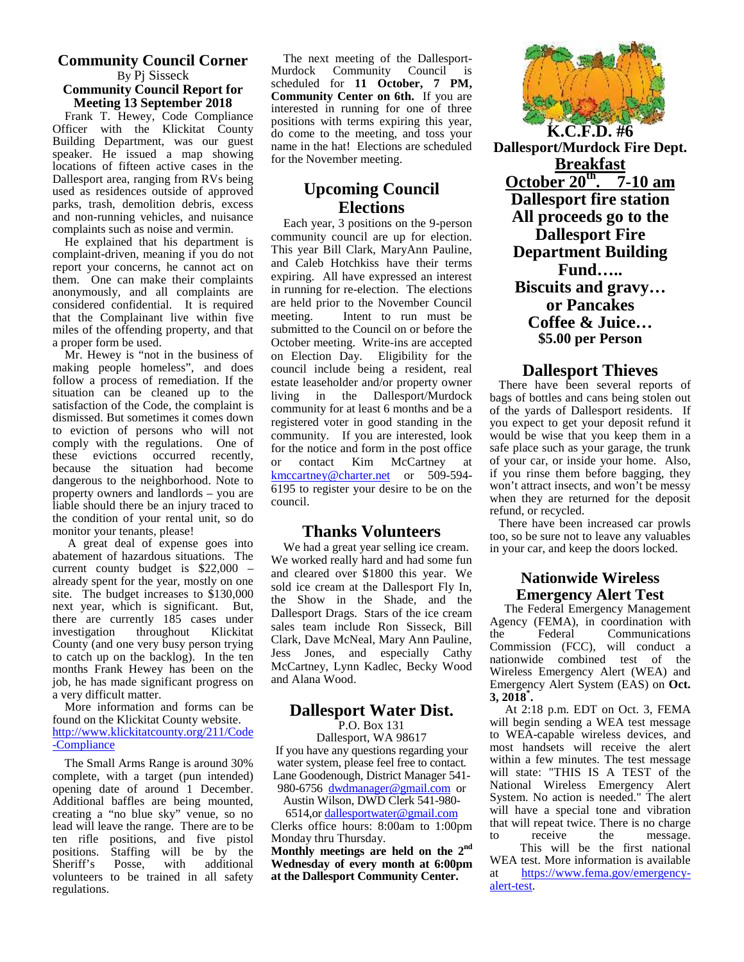#### **Community Council Corner** By Pj Sisseck **Community Council Report for Meeting 13 September 2018**

Frank T. Hewey, Code Compliance  $\frac{m}{\text{positive}}$ Officer with the Klickitat County  $\frac{1}{10}$  or Building Department, was our guest  $\frac{d}{dx}$ speaker. He issued a map showing  $\frac{\text{nam}}{\text{for } \text{th}}$ locations of fifteen active cases in the Dallesport area, ranging from RVs being used as residences outside of approved parks, trash, demolition debris, excess and non-running vehicles, and nuisance complaints such as noise and vermin.

He explained that his department is complaint-driven, meaning if you do not report your concerns, he cannot act on them. One can make their complaints anonymously, and all complaints are considered confidential. It is required are held<br>that the Complainant live within five meeting. that the Complainant live within five miles of the offending property, and that a proper form be used.

Mr. Hewey is "not in the business of making people homeless", and does follow a process of remediation. If the situation can be cleaned up to the satisfaction of the Code, the complaint is dismissed. But sometimes it comes down to eviction of persons who will not comply with the regulations. One of these evictions occurred recently,  $\frac{1}{6}$ because the situation had become  $\frac{0}{1}$ dangerous to the neighborhood. Note to property owners and landlords – you are liable should there be an injury traced to the condition of your rental unit, so do monitor your tenants, please!

A great deal of expense goes into abatement of hazardous situations. The current county budget is \$22,000 – already spent for the year, mostly on one site. The budget increases to \$130,000 next year, which is significant. But, there are currently 185 cases under investigation throughout Klickitat County (and one very busy person trying to catch up on the backlog). In the ten months Frank Hewey has been on the job, he has made significant progress on a very difficult matter.

 More information and forms can be found on the Klickitat County website. http://www.klickitatcounty.org/211/Code -Compliance

The Small Arms Range is around 30% complete, with a target (pun intended) opening date of around 1 December. Additional baffles are being mounted, creating a "no blue sky" venue, so no lead will leave the range. There are to be ten rifle positions, and five pistol positions. Staffing will be by the Sheriff's Posse, with additional with additional volunteers to be trained in all safety regulations.

The next meeting of the Dallesport- Murdock Community Council is scheduled for **11 October, 7 PM, Community Center on 6th.** If you are interested in running for one of three positions with terms expiring this year, do come to the meeting, and toss your name in the hat! Elections are scheduled for the November meeting.

# **Upcoming Council Elections**

Each year, 3 positions on the 9-person community council are up for election. This year Bill Clark, MaryAnn Pauline, and Caleb Hotchkiss have their terms expiring. All have expressed an interest in running for re-election. The elections are held prior to the November Council Intent to run must be submitted to the Council on or before the October meeting. Write-ins are accepted on Election Day. Eligibility for the council include being a resident, real estate leaseholder and/or property owner living in the Dallesport/Murdock community for at least 6 months and be a registered voter in good standing in the community. If you are interested, look for the notice and form in the post office or contact Kim McCartney at kmccartney@charter.net or 509-594-6195 to register your desire to be on the council.

#### **Thanks Volunteers**

We had a great year selling ice cream. We worked really hard and had some fun and cleared over \$1800 this year. We sold ice cream at the Dallesport Fly In, the Show in the Shade, and the Dallesport Drags. Stars of the ice cream sales team include Ron Sisseck, Bill  $\frac{Agg}{g}$ Clark, Dave McNeal, Mary Ann Pauline, Jess Jones, and especially Cathy McCartney, Lynn Kadlec, Becky Wood and Alana Wood.

#### **Dallesport Water Dist.**

P.O. Box 131

Dallesport, WA 98617 If you have any questions regarding your water system, please feel free to contact. Lane Goodenough, District Manager 541- 980-6756 dwdmanager@gmail.com or

Austin Wilson, DWD Clerk 541-980-

6514,or dallesportwater@gmail.com Clerks office hours: 8:00am to 1:00pm that will repeat t<br>Mondov thru Thursday Monday thru Thursday. **Monthly meetings are held on the 2nd Wednesday of every month at 6:00pm at the Dallesport Community Center.**



**Dallesport/Murdock Fire Dept. Breakfast October 20th . 7-10 am Dallesport fire station All proceeds go to the Dallesport Fire Department Building Fund….. Biscuits and gravy… or Pancakes Coffee & Juice… \$5.00 per Person**

#### **Dallesport Thieves**

There have been several reports of bags of bottles and cans being stolen out of the yards of Dallesport residents. If you expect to get your deposit refund it would be wise that you keep them in a safe place such as your garage, the trunk of your car, or inside your home. Also, if you rinse them before bagging, they won't attract insects, and won't be messy when they are returned for the deposit refund, or recycled.

 There have been increased car prowls too, so be sure not to leave any valuables in your car, and keep the doors locked.

#### **Nationwide Wireless Emergency Alert Test**

The Federal Emergency Management Agency (FEMA), in coordination with<br>the Federal Communications **Communications** Commission (FCC), will conduct a nationwide combined test of the Wireless Emergency Alert (WEA) and Emergency Alert System (EAS) on **Oct. 3, 2018\* .**

 At 2:18 p.m. EDT on Oct. 3, FEMA will begin sending a WEA test message to WEA-capable wireless devices, and most handsets will receive the alert within a few minutes. The test message will state: "THIS IS A TEST of the National Wireless Emergency Alert System. No action is needed." The alert will have a special tone and vibration that will repeat twice. There is no charge<br>to receive the message. message.

 This will be the first national WEA test. More information is available https://www.fema.gov/emergencyalert-test.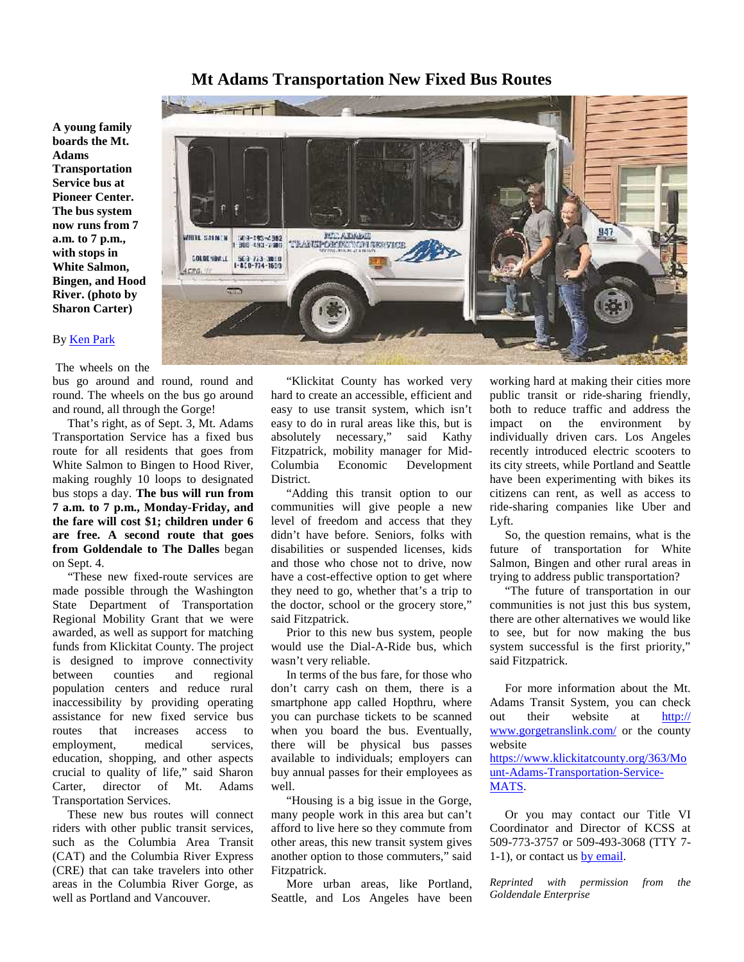#### **Mt Adams Transportation New Fixed Bus Routes**

**A young family boards the Mt. Adams Transportation Service bus at Pioneer Center. The bus system now runs from 7 a.m. to 7 p.m., with stops in White Salmon, Bingen, and Hood River. (photo by Sharon Carter)**

#### By Ken Park

The wheels on the

bus go around and round, round and round. The wheels on the bus go around and round, all through the Gorge!

That's right, as of Sept. 3, Mt. Adams Transportation Service has a fixed bus route for all residents that goes from White Salmon to Bingen to Hood River, Columbia making roughly 10 loops to designated bus stops a day. **The bus will run from 7 a.m. to 7 p.m., Monday-Friday, and the fare will cost \$1; children under 6 are free. A second route that goes from Goldendale to The Dalles** began on Sept. 4.

"These new fixed-route services are made possible through the Washington State Department of Transportation Regional Mobility Grant that we were awarded, as well as support for matching funds from Klickitat County. The project is designed to improve connectivity between counties and regional population centers and reduce rural inaccessibility by providing operating assistance for new fixed service bus routes that increases access to employment, medical services, education, shopping, and other aspects crucial to quality of life," said Sharon Carter, director of Mt. Adams Transportation Services.

These new bus routes will connect riders with other public transit services, such as the Columbia Area Transit (CAT) and the Columbia River Express (CRE) that can take travelers into other areas in the Columbia River Gorge, as well as Portland and Vancouver.



"Klickitat County has worked very hard to create an accessible, efficient and easy to use transit system, which isn't easy to do in rural areas like this, but is necessary," said Kathy Fitzpatrick, mobility manager for Mid- Economic Development **District** 

"Adding this transit option to our communities will give people a new level of freedom and access that they didn't have before. Seniors, folks with disabilities or suspended licenses, kids and those who chose not to drive, now have a cost-effective option to get where they need to go, whether that's a trip to the doctor, school or the grocery store," said Fitzpatrick.

Prior to this new bus system, people would use the Dial-A-Ride bus, which wasn't very reliable.

In terms of the bus fare, for those who don't carry cash on them, there is a smartphone app called Hopthru, where you can purchase tickets to be scanned when you board the bus. Eventually, there will be physical bus passes available to individuals; employers can buy annual passes for their employees as well.

"Housing is a big issue in the Gorge, many people work in this area but can't afford to live here so they commute from other areas, this new transit system gives another option to those commuters," said Fitzpatrick.

More urban areas, like Portland, Seattle, and Los Angeles have been

working hard at making their cities more public transit or ride-sharing friendly, both to reduce traffic and address the impact on the environment by individually driven cars. Los Angeles recently introduced electric scooters to its city streets, while Portland and Seattle have been experimenting with bikes its citizens can rent, as well as access to ride-sharing companies like Uber and Lyft.

So, the question remains, what is the future of transportation for White Salmon, Bingen and other rural areas in trying to address public transportation?

"The future of transportation in our communities is not just this bus system, there are other alternatives we would like to see, but for now making the bus system successful is the first priority," said Fitzpatrick.

For more information about the Mt. Adams Transit System, you can check their website at http:// www.gorgetranslink.com/ or the county website

https://www.klickitatcounty.org/363/Mo unt-Adams-Transportation-Service- MATS.

 Or you may contact our Title VI Coordinator and Director of KCSS at 509-773-3757 or 509-493-3068 (TTY 7- 1-1), or contact us by email.

*Reprinted with permission from the Goldendale Enterprise*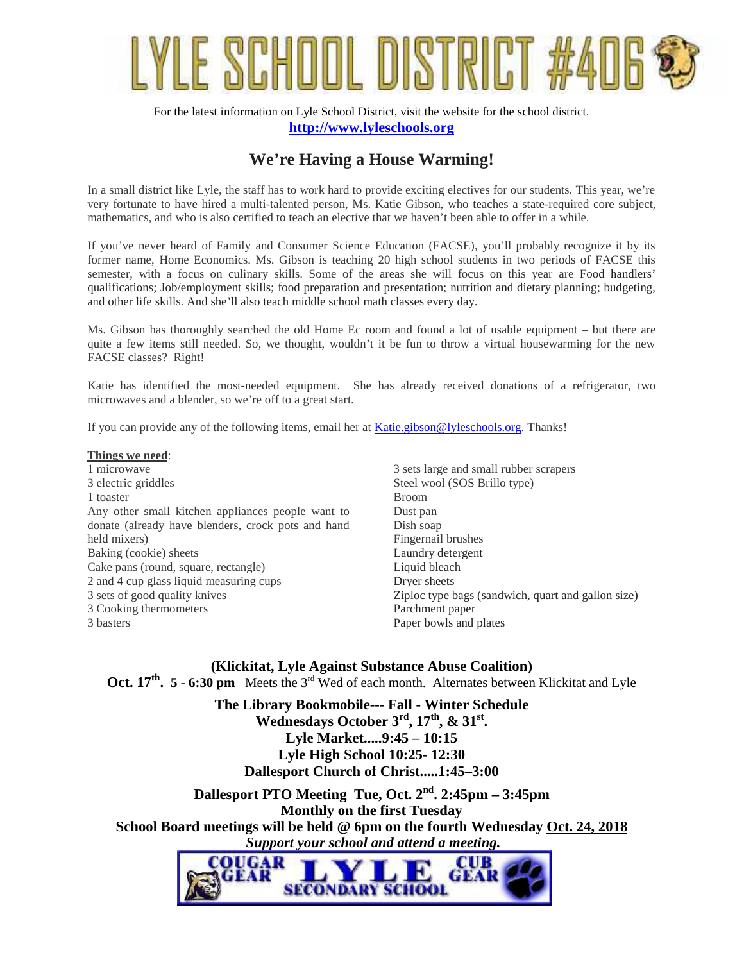

For the latest information on Lyle School District, visit the website for the school district. **http://www.lyleschools.org**

# **We're Having a House Warming!**

In a small district like Lyle, the staff has to work hard to provide exciting electives for our students. This year, we're very fortunate to have hired a multi-talented person, Ms. Katie Gibson, who teaches a state-required core subject, mathematics, and who is also certified to teach an elective that we haven't been able to offer in a while.

If you've never heard of Family and Consumer Science Education (FACSE), you'll probably recognize it by its former name, Home Economics. Ms. Gibson is teaching 20 high school students in two periods of FACSE this semester, with a focus on culinary skills. Some of the areas she will focus on this year are Food handlers' qualifications; Job/employment skills; food preparation and presentation; nutrition and dietary planning; budgeting, and other life skills. And she'll also teach middle school math classes every day.

Ms. Gibson has thoroughly searched the old Home Ec room and found a lot of usable equipment – but there are quite a few items still needed. So, we thought, wouldn't it be fun to throw a virtual housewarming for the new FACSE classes? Right!

Katie has identified the most-needed equipment. She has already received donations of a refrigerator, two microwaves and a blender, so we're off to a great start.

If you can provide any of the following items, email her at Katie.gibson@lyleschools.org. Thanks!

#### **Things we need**:

1 microwave 3 electric griddles 1 toaster Any other small kitchen appliances people want to donate (already have blenders, crock pots and hand held mixers) Baking (cookie) sheets Cake pans (round, square, rectangle) 2 and 4 cup glass liquid measuring cups 3 sets of good quality knives 3 Cooking thermometers 3 basters

3 sets large and small rubber scrapers Steel wool (SOS Brillo type) Broom Dust pan Dish soap Fingernail brushes Laundry detergent Liquid bleach Dryer sheets Ziploc type bags (sandwich, quart and gallon size) Parchment paper Paper bowls and plates

**(Klickitat, Lyle Against Substance Abuse Coalition) Oct. 17<sup>th</sup>. 5 - 6:30 pm** Meets the 3<sup>rd</sup> Wed of each month. Alternates between Klickitat and Lyle

> **The Library Bookmobile--- Fall - Winter Schedule Wednesdays October 3rd, 17th, & 31st. Lyle Market.....9:45 – 10:15 Lyle High School 10:25- 12:30 Dallesport Church of Christ.....1:45–3:00**

**Dallesport PTO Meeting Tue, Oct. 2nd . 2:45pm – 3:45pm Monthly on the first Tuesday School Board meetings will be held @ 6pm on the fourth Wednesday Oct. 24, 2018**  *Support your school and attend a meeting.*

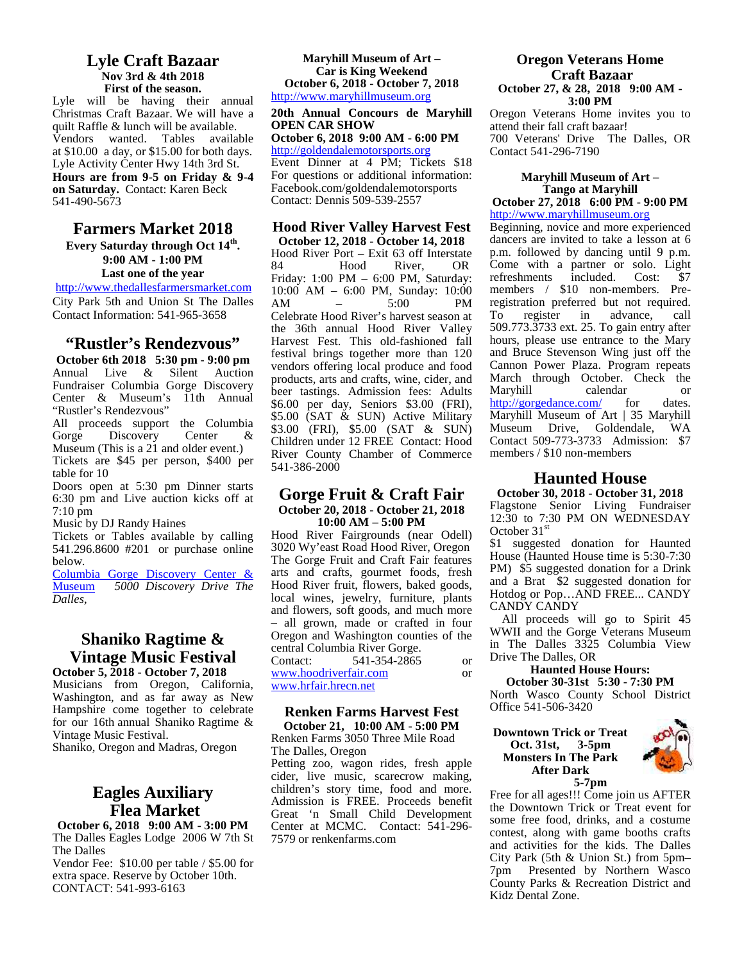#### **Lyle Craft Bazaar Nov 3rd & 4th 2018 First of the season.**

Lyle will be having their annual Christmas Craft Bazaar. We will have a quilt Raffle & lunch will be available. Vendors wanted. Tables available at \$10.00 a day, or \$15.00 for both days. Lyle Activity Center Hwy 14th 3rd St. **Hours are from 9-5 on Friday & 9-4 on Saturday.** Contact: Karen Beck 541-490-5673

#### **Farmers Market 2018 Every Saturday through Oct 14th .** 9:00 AM **- 1:00 PM**  $^{10}$

**Last one of the year**

http://www.thedallesfarmersmarket.com City Park 5th and Union St The Dalles Contact Information: 541-965-3658

#### **"Rustler's Rendezvous"**

**October 6th 2018 5:30 pm - 9:00 pm**<br>Annual Live & Silent Auction Annual Live & Silent Auction Fundraiser Columbia Gorge Discovery Center & Museum's 11th Annual "Rustler's Rendezvous"

All proceeds support the Columbia Gorge Discovery Center & Museum (This is a 21 and older event.)

Tickets are \$45 per person, \$400 per table for 10

Doors open at 5:30 pm Dinner starts 6:30 pm and Live auction kicks off at 7:10 pm

Music by DJ Randy Haines

Tickets or Tables available by calling 541.296.8600 #201 or purchase online below.

Columbia Gorge Discovery Center & 5000 Discovery Drive The *Dalles,*

# **Shaniko Ragtime & Vintage Music Festival** Contact:

**October 5, 2018 - October 7, 2018** Musicians from Oregon, California, Washington, and as far away as New Hampshire come together to celebrate for our 16th annual Shaniko Ragtime & Vintage Music Festival.

Shaniko, Oregon and Madras, Oregon

## **Eagles Auxiliary Flea Market**

**October 6, 2018 9:00 AM - 3:00 PM** The Dalles Eagles Lodge 2006 W 7th St The Dalles Vendor Fee: \$10.00 per table / \$5.00 for

extra space. Reserve by October 10th. CONTACT: 541-993-6163

#### **Maryhill Museum of Art – Car is King Weekend October 6, 2018 - October 7, 2018** http://www.maryhillmuseum.org

#### **20th Annual Concours de Maryhill OPEN CAR SHOW**

**October 6, 2018 9:00 AM - 6:00 PM**

http://goldendalemotorsports.org Event Dinner at 4 PM; Tickets \$18 For questions or additional information: Facebook.com/goldendalemotorsports Contact: Dennis 509-539-2557

#### **Hood River Valley Harvest Fest**

**October 12, 2018 - October 14, 2018** Hood River Port – Exit 63 off Interstate 84 Hood River, OR Come with a partner or solo. Light Friday: 1:00 PM – 6:00 PM, Saturday: 10:00 AM – 6:00 PM, Sunday: 10:00 AM – 5:00 PM registration preferred but not required. Celebrate Hood River's harvest season at the 36th annual Hood River Valley Harvest Fest. This old-fashioned fall festival brings together more than 120 vendors offering local produce and food products, arts and crafts, wine, cider, and beer tastings. Admission fees: Adults \$6.00 per day, Seniors \$3.00 (FRI), \$5.00 (SAT & SUN) Active Military \$3.00 (FRI), \$5.00 (SAT & SUN) Children under 12 FREE Contact: Hood River County Chamber of Commerce 541-386-2000

#### **Gorge Fruit & Craft Fair October 20, 2018 - October 21, 2018 10:00 AM – 5:00 PM**

Hood River Fairgrounds (near Odell) 3020 Wy'east Road Hood River, Oregon The Gorge Fruit and Craft Fair features arts and crafts, gourmet foods, fresh Hood River fruit, flowers, baked goods, local wines, jewelry, furniture, plants and flowers, soft goods, and much more – all grown, made or crafted in four Oregon and Washington counties of the central Columbia River Gorge. 541-354-2865 or www.hoodriverfair.com or

www.hrfair.hrecn.net

#### **Renken Farms Harvest Fest October 21, 10:00 AM - 5:00 PM**

Renken Farms 3050 Three Mile Road The Dalles, Oregon

Petting zoo, wagon rides, fresh apple cider, live music, scarecrow making, children's story time, food and more. Admission is FREE. Proceeds benefit Great 'n Small Child Development  $\frac{u}{g}$ Center at MCMC. Contact:  $541-296-$ 7579 or renkenfarms.com

#### **Oregon Veterans Home Craft Bazaar October 27, & 28, 2018 9:00 AM -**

**3:00 PM** Oregon Veterans Home invites you to attend their fall craft bazaar! 700 Veterans' Drive The Dalles, OR Contact 541-296-7190

#### **Maryhill Museum of Art – Tango at Maryhill**

**October 27, 2018 6:00 PM - 9:00 PM** http://www.maryhillmuseum.org

Beginning, novice and more experienced dancers are invited to take a lesson at 6 p.m. followed by dancing until 9 p.m. refreshments included. Cost: \$7 members / \$10 non-members. Preregister in advance, call 509.773.3733 ext. 25. To gain entry after hours, please use entrance to the Mary and Bruce Stevenson Wing just off the Cannon Power Plaza. Program repeats March through October. Check the Maryhill calendar or http://gorgedance.com/ for dates. Maryhill Museum of Art | 35 Maryhill Museum Drive, Goldendale, WA Contact 509-773-3733 Admission: \$7 members / \$10 non-members

#### **Haunted House**

**October 30, 2018 - October 31, 2018** Flagstone Senior Living Fundraiser 12:30 to 7:30 PM ON WEDNESDAY October 31<sup>st</sup>

\$1 suggested donation for Haunted House (Haunted House time is 5:30-7:30 PM) \$5 suggested donation for a Drink and a Brat \$2 suggested donation for Hotdog or Pop…AND FREE... CANDY CANDY CANDY

All proceeds will go to Spirit 45 WWII and the Gorge Veterans Museum in The Dalles 3325 Columbia View Drive The Dalles, OR

#### **Haunted House Hours: October 30-31st 5:30 - 7:30 PM**

North Wasco County School District Office 541-506-3420

#### **Downtown Trick or Treat Oct. 31st, 3-5pm Monsters In The Park After Dark**



**5-7pm**

Free for all ages!!! Come join us AFTER the Downtown Trick or Treat event for some free food, drinks, and a costume contest, along with game booths crafts and activities for the kids. The Dalles City Park (5th & Union St.) from 5pm– 7pm Presented by Northern Wasco County Parks & Recreation District and Kidz Dental Zone.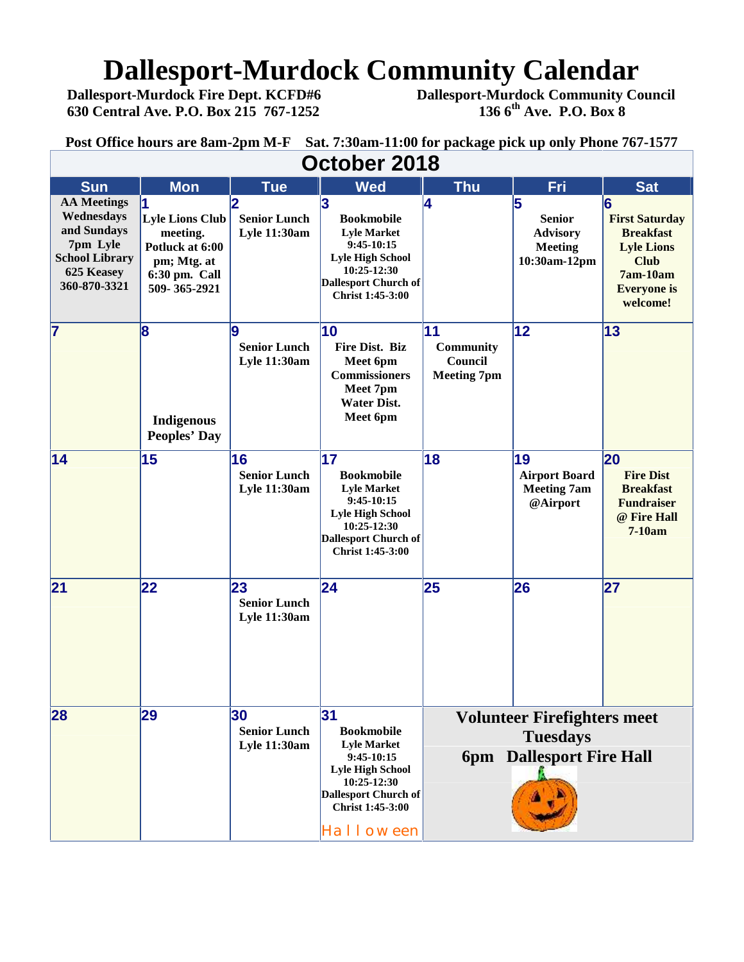# **Dallesport-Murdock Community Calendar**<br>Dallesport-Murdock Fire Dept. KCFD#6 Dallesport-Murdock Community Co

 **Dallesport-Murdock Fire Dept. KCFD#6 Dallesport-Murdock Community Council 630 Central Ave. P.O. Box 215 767-1252 136 6th Ave. P.O. Box 8**

**Post Office hours are 8am-2pm M-F Sat. 7:30am-11:00 for package pick up only Phone 767-1577**

| October 2018                                                                                                       |                                                                                                             |                                                         |                                                                                                                                                                         |                                                                                          |                                                                         |                                                                                                                                    |  |  |  |  |
|--------------------------------------------------------------------------------------------------------------------|-------------------------------------------------------------------------------------------------------------|---------------------------------------------------------|-------------------------------------------------------------------------------------------------------------------------------------------------------------------------|------------------------------------------------------------------------------------------|-------------------------------------------------------------------------|------------------------------------------------------------------------------------------------------------------------------------|--|--|--|--|
| <b>Sun</b>                                                                                                         | <b>Mon</b>                                                                                                  | <b>Tue</b>                                              | <b>Wed</b>                                                                                                                                                              | <b>Thu</b>                                                                               | Fri                                                                     | <b>Sat</b>                                                                                                                         |  |  |  |  |
| <b>AA Meetings</b><br>Wednesdays<br>and Sundays<br>7pm Lyle<br><b>School Library</b><br>625 Keasey<br>360-870-3321 | 11<br><b>Lyle Lions Club</b><br>meeting.<br>Potluck at 6:00<br>pm; Mtg. at<br>6:30 pm. Call<br>509-365-2921 | 2<br><b>Senior Lunch</b><br><b>Lyle 11:30am</b>         | 3<br><b>Bookmobile</b><br><b>Lyle Market</b><br>$9:45-10:15$<br><b>Lyle High School</b><br>10:25-12:30<br>Dallesport Church of<br>Christ 1:45-3:00                      | 4                                                                                        | 5<br><b>Senior</b><br><b>Advisory</b><br><b>Meeting</b><br>10:30am-12pm | 6<br><b>First Saturday</b><br><b>Breakfast</b><br><b>Lyle Lions</b><br><b>Club</b><br>$7am-10am$<br><b>Everyone</b> is<br>welcome! |  |  |  |  |
| $\overline{7}$                                                                                                     | 8<br><b>Indigenous</b><br><b>Peoples' Day</b>                                                               | <u>lg</u><br><b>Senior Lunch</b><br><b>Lyle 11:30am</b> | 10<br>Fire Dist. Biz<br>Meet 6pm<br><b>Commissioners</b><br>Meet 7pm<br><b>Water Dist.</b><br>Meet 6pm                                                                  | 11<br><b>Community</b><br>Council<br><b>Meeting 7pm</b>                                  | $ 12\rangle$                                                            | 13                                                                                                                                 |  |  |  |  |
| 14                                                                                                                 | 15                                                                                                          | 16<br><b>Senior Lunch</b><br><b>Lyle 11:30am</b>        | 17 <br><b>Bookmobile</b><br><b>Lyle Market</b><br>$9:45-10:15$<br><b>Lyle High School</b><br>10:25-12:30<br>Dallesport Church of<br>Christ 1:45-3:00                    | 18                                                                                       | 19<br><b>Airport Board</b><br><b>Meeting 7am</b><br>@Airport            | 20<br><b>Fire Dist</b><br><b>Breakfast</b><br><b>Fundraiser</b><br>@ Fire Hall<br>$7-10am$                                         |  |  |  |  |
| 21                                                                                                                 | 22                                                                                                          | 23<br><b>Senior Lunch</b><br><b>Lyle 11:30am</b>        | 24                                                                                                                                                                      | 25                                                                                       | 26                                                                      | 27                                                                                                                                 |  |  |  |  |
| 28                                                                                                                 | 29                                                                                                          | 30<br><b>Senior Lunch</b><br><b>Lyle 11:30am</b>        | 31<br><b>Bookmobile</b><br><b>Lyle Market</b><br>$9:45-10:15$<br><b>Lyle High School</b><br>10:25-12:30<br><b>Dallesport Church of</b><br>Christ 1:45-3:00<br>Halloween | <b>Volunteer Firefighters meet</b><br><b>Tuesdays</b><br><b>6pm</b> Dallesport Fire Hall |                                                                         |                                                                                                                                    |  |  |  |  |